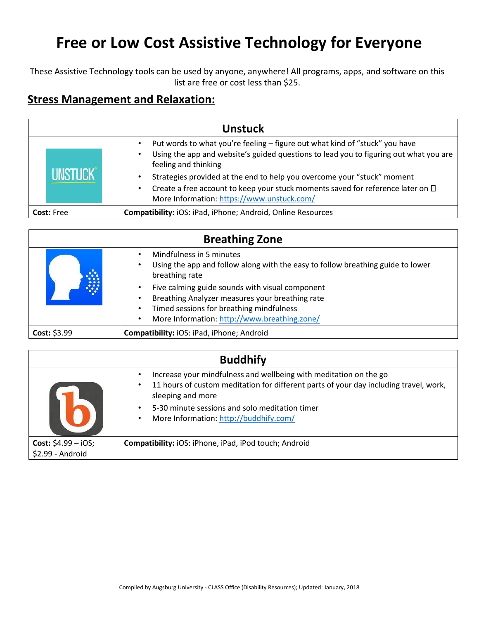## **Free or Low Cost Assistive Technology for Everyone**

These Assistive Technology tools can be used by anyone, anywhere! All programs, apps, and software on this list are free or cost less than \$25.

## **Stress Management and Relaxation:**

| <b>Unstuck</b>    |  |                                                                                                                                                                                                                    |  |  |
|-------------------|--|--------------------------------------------------------------------------------------------------------------------------------------------------------------------------------------------------------------------|--|--|
|                   |  | Put words to what you're feeling – figure out what kind of "stuck" you have<br>Using the app and website's guided questions to lead you to figuring out what you are<br>feeling and thinking                       |  |  |
|                   |  | Strategies provided at the end to help you overcome your "stuck" moment<br>Create a free account to keep your stuck moments saved for reference later on $\Box$<br>٠<br>More Information: https://www.unstuck.com/ |  |  |
| <b>Cost: Free</b> |  | Compatibility: iOS: iPad, iPhone; Android, Online Resources                                                                                                                                                        |  |  |

| <b>Breathing Zone</b> |                                                                                                                                                                                                                                                    |  |
|-----------------------|----------------------------------------------------------------------------------------------------------------------------------------------------------------------------------------------------------------------------------------------------|--|
|                       | Mindfulness in 5 minutes<br>Using the app and follow along with the easy to follow breathing guide to lower<br>$\bullet$<br>breathing rate                                                                                                         |  |
|                       | Five calming guide sounds with visual component<br>$\bullet$<br>Breathing Analyzer measures your breathing rate<br>$\bullet$<br>Timed sessions for breathing mindfulness<br>$\bullet$<br>More Information: http://www.breathing.zone/<br>$\bullet$ |  |
| Cost: \$3.99          | Compatibility: iOS: iPad, iPhone; Android                                                                                                                                                                                                          |  |

| <b>Buddhify</b>                                 |                                                                                                                                                                                                                                                                                                                    |  |
|-------------------------------------------------|--------------------------------------------------------------------------------------------------------------------------------------------------------------------------------------------------------------------------------------------------------------------------------------------------------------------|--|
|                                                 | Increase your mindfulness and wellbeing with meditation on the go<br>11 hours of custom meditation for different parts of your day including travel, work,<br>$\bullet$<br>sleeping and more<br>5-30 minute sessions and solo meditation timer<br>$\bullet$<br>More Information: http://buddhify.com/<br>$\bullet$ |  |
| <b>Cost:</b> $$4.99 - iOS;$<br>\$2.99 - Android | Compatibility: iOS: iPhone, iPad, iPod touch; Android                                                                                                                                                                                                                                                              |  |